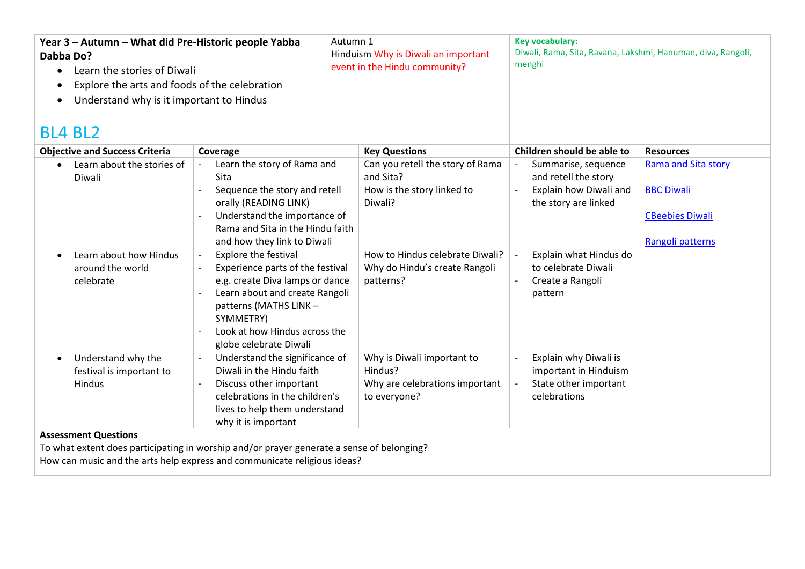| Year 3 - Autumn - What did Pre-Historic people Yabba<br>Dabba Do?<br>Learn the stories of Diwali<br>$\bullet$<br>Explore the arts and foods of the celebration<br>$\bullet$<br>Understand why is it important to Hindus<br>$\bullet$<br><b>BL4 BL2</b> |                                                                                                                                                                                                                                                                     | Autumn 1<br>Hinduism Why is Diwali an important<br>event in the Hindu community?                                                                           | <b>Key vocabulary:</b><br>Diwali, Rama, Sita, Ravana, Lakshmi, Hanuman, diva, Rangoli,<br>menghi                                               |                                                                                               |
|--------------------------------------------------------------------------------------------------------------------------------------------------------------------------------------------------------------------------------------------------------|---------------------------------------------------------------------------------------------------------------------------------------------------------------------------------------------------------------------------------------------------------------------|------------------------------------------------------------------------------------------------------------------------------------------------------------|------------------------------------------------------------------------------------------------------------------------------------------------|-----------------------------------------------------------------------------------------------|
| <b>Objective and Success Criteria</b>                                                                                                                                                                                                                  | Coverage                                                                                                                                                                                                                                                            | <b>Key Questions</b>                                                                                                                                       | Children should be able to                                                                                                                     | <b>Resources</b>                                                                              |
| Learn about the stories of<br>Diwali<br>Learn about how Hindus<br>$\bullet$<br>around the world                                                                                                                                                        | Learn the story of Rama and<br>Sita<br>Sequence the story and retell<br>orally (READING LINK)<br>Understand the importance of<br>Rama and Sita in the Hindu faith<br>and how they link to Diwali<br><b>Explore the festival</b><br>Experience parts of the festival | Can you retell the story of Rama<br>and Sita?<br>How is the story linked to<br>Diwali?<br>How to Hindus celebrate Diwali?<br>Why do Hindu's create Rangoli | Summarise, sequence<br>and retell the story<br>Explain how Diwali and<br>the story are linked<br>Explain what Hindus do<br>to celebrate Diwali | <b>Rama and Sita story</b><br><b>BBC Diwali</b><br><b>CBeebies Diwali</b><br>Rangoli patterns |
| celebrate                                                                                                                                                                                                                                              | e.g. create Diva lamps or dance<br>Learn about and create Rangoli<br>patterns (MATHS LINK -<br>SYMMETRY)<br>Look at how Hindus across the<br>globe celebrate Diwali                                                                                                 | patterns?                                                                                                                                                  | Create a Rangoli<br>pattern                                                                                                                    |                                                                                               |
| Understand why the<br>$\bullet$<br>festival is important to<br>Hindus                                                                                                                                                                                  | Understand the significance of<br>$\blacksquare$<br>Diwali in the Hindu faith<br>Discuss other important<br>celebrations in the children's<br>lives to help them understand<br>why it is important                                                                  | Why is Diwali important to<br>Hindus?<br>Why are celebrations important<br>to everyone?                                                                    | Explain why Diwali is<br>important in Hinduism<br>State other important<br>celebrations                                                        |                                                                                               |
| <b>Assessment Questions</b><br>To what extent does participating in worship and/or prayer generate a sense of belonging?<br>How can music and the arts help express and communicate religious ideas?                                                   |                                                                                                                                                                                                                                                                     |                                                                                                                                                            |                                                                                                                                                |                                                                                               |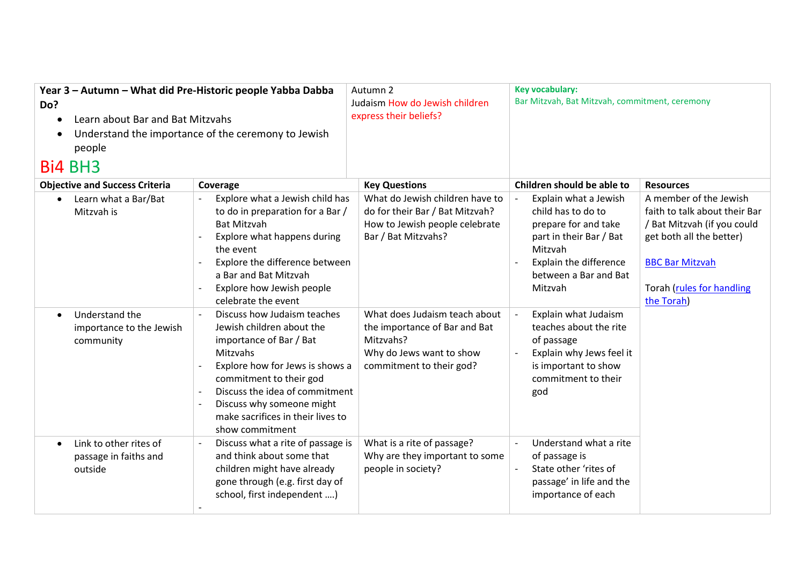| Year 3 - Autumn - What did Pre-Historic people Yabba Dabba<br>Do?<br>Learn about Bar and Bat Mitzvahs<br>$\bullet$<br>$\bullet$<br>people<br>Bi4 BH3 | Understand the importance of the ceremony to Jewish                                                                                                                                                                                                                                  | Autumn 2<br>Judaism How do Jewish children<br>express their beliefs?                                                                | <b>Key vocabulary:</b><br>Bar Mitzvah, Bat Mitzvah, commitment, ceremony                                                                                                       |                                                                                                                                                                                         |
|------------------------------------------------------------------------------------------------------------------------------------------------------|--------------------------------------------------------------------------------------------------------------------------------------------------------------------------------------------------------------------------------------------------------------------------------------|-------------------------------------------------------------------------------------------------------------------------------------|--------------------------------------------------------------------------------------------------------------------------------------------------------------------------------|-----------------------------------------------------------------------------------------------------------------------------------------------------------------------------------------|
| <b>Objective and Success Criteria</b>                                                                                                                | Coverage                                                                                                                                                                                                                                                                             | <b>Key Questions</b>                                                                                                                | Children should be able to                                                                                                                                                     | <b>Resources</b>                                                                                                                                                                        |
| Learn what a Bar/Bat<br>$\bullet$<br>Mitzvah is                                                                                                      | Explore what a Jewish child has<br>to do in preparation for a Bar /<br><b>Bat Mitzvah</b><br>Explore what happens during<br>the event<br>Explore the difference between<br>a Bar and Bat Mitzvah<br>Explore how Jewish people<br>celebrate the event                                 | What do Jewish children have to<br>do for their Bar / Bat Mitzvah?<br>How to Jewish people celebrate<br>Bar / Bat Mitzvahs?         | Explain what a Jewish<br>child has to do to<br>prepare for and take<br>part in their Bar / Bat<br>Mitzvah<br><b>Explain the difference</b><br>between a Bar and Bat<br>Mitzvah | A member of the Jewish<br>faith to talk about their Bar<br>/ Bat Mitzvah (if you could<br>get both all the better)<br><b>BBC Bar Mitzvah</b><br>Torah (rules for handling<br>the Torah) |
| Understand the<br>$\bullet$<br>importance to the Jewish<br>community                                                                                 | Discuss how Judaism teaches<br>Jewish children about the<br>importance of Bar / Bat<br>Mitzvahs<br>Explore how for Jews is shows a<br>commitment to their god<br>Discuss the idea of commitment<br>Discuss why someone might<br>make sacrifices in their lives to<br>show commitment | What does Judaism teach about<br>the importance of Bar and Bat<br>Mitzvahs?<br>Why do Jews want to show<br>commitment to their god? | Explain what Judaism<br>teaches about the rite<br>of passage<br>Explain why Jews feel it<br>is important to show<br>commitment to their<br>god                                 |                                                                                                                                                                                         |
| Link to other rites of<br>$\bullet$<br>passage in faiths and<br>outside                                                                              | Discuss what a rite of passage is<br>and think about some that<br>children might have already<br>gone through (e.g. first day of<br>school, first independent )                                                                                                                      | What is a rite of passage?<br>Why are they important to some<br>people in society?                                                  | Understand what a rite<br>$\mathbf{r}$<br>of passage is<br>State other 'rites of<br>passage' in life and the<br>importance of each                                             |                                                                                                                                                                                         |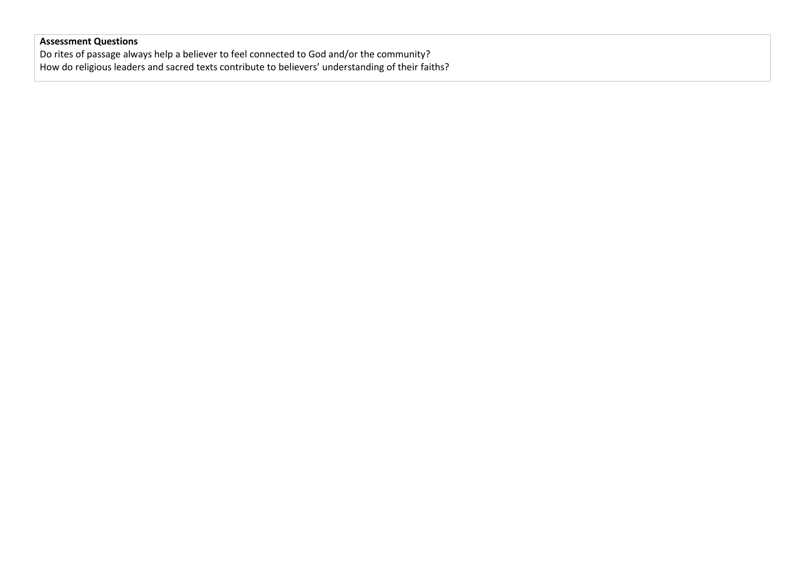## **Assessment Questions**

Do rites of passage always help a believer to feel connected to God and/or the community? How do religious leaders and sacred texts contribute to believers' understanding of their faiths?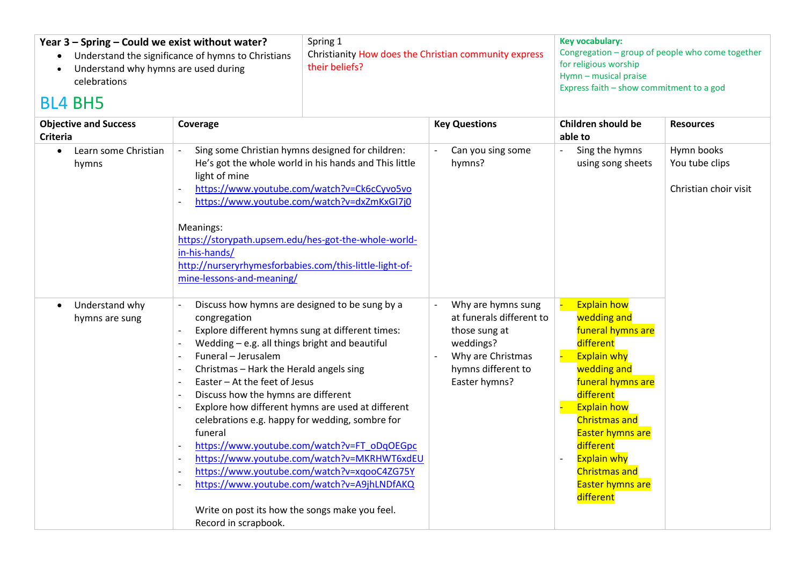| Year 3 - Spring - Could we exist without water?<br>Understand why hymns are used during<br>celebrations<br><b>BL4 BH5</b> | Spring 1<br>Understand the significance of hymns to Christians<br>their beliefs?                                                                                                                                                                                                                                                                                                                                                                                                                                                                                                                                                                                                                                                                                                                                                                                                                            | Christianity How does the Christian community express                                                                                    | Key vocabulary:<br>Congregation - group of people who come together<br>for religious worship<br>Hymn - musical praise<br>Express faith - show commitment to a god                                                                                                                                                      |                                                       |
|---------------------------------------------------------------------------------------------------------------------------|-------------------------------------------------------------------------------------------------------------------------------------------------------------------------------------------------------------------------------------------------------------------------------------------------------------------------------------------------------------------------------------------------------------------------------------------------------------------------------------------------------------------------------------------------------------------------------------------------------------------------------------------------------------------------------------------------------------------------------------------------------------------------------------------------------------------------------------------------------------------------------------------------------------|------------------------------------------------------------------------------------------------------------------------------------------|------------------------------------------------------------------------------------------------------------------------------------------------------------------------------------------------------------------------------------------------------------------------------------------------------------------------|-------------------------------------------------------|
| <b>Objective and Success</b><br><b>Criteria</b>                                                                           | Coverage                                                                                                                                                                                                                                                                                                                                                                                                                                                                                                                                                                                                                                                                                                                                                                                                                                                                                                    | <b>Key Questions</b>                                                                                                                     | <b>Children should be</b><br>able to                                                                                                                                                                                                                                                                                   | <b>Resources</b>                                      |
| Learn some Christian<br>$\bullet$<br>hymns                                                                                | Sing some Christian hymns designed for children:<br>He's got the whole world in his hands and This little<br>light of mine<br>https://www.youtube.com/watch?v=Ck6cCyvo5vo<br>$\overline{\phantom{a}}$<br>https://www.youtube.com/watch?v=dxZmKxGI7j0<br>Meanings:<br>https://storypath.upsem.edu/hes-got-the-whole-world-<br>in-his-hands/<br>http://nurseryrhymesforbabies.com/this-little-light-of-<br>mine-lessons-and-meaning/                                                                                                                                                                                                                                                                                                                                                                                                                                                                          | Can you sing some<br>hymns?                                                                                                              | Sing the hymns<br>using song sheets                                                                                                                                                                                                                                                                                    | Hymn books<br>You tube clips<br>Christian choir visit |
| Understand why<br>hymns are sung                                                                                          | Discuss how hymns are designed to be sung by a<br>congregation<br>Explore different hymns sung at different times:<br>Wedding - e.g. all things bright and beautiful<br>Funeral - Jerusalem<br>$\overline{\phantom{a}}$<br>Christmas - Hark the Herald angels sing<br>Easter - At the feet of Jesus<br>$\overline{\phantom{a}}$<br>Discuss how the hymns are different<br>$\overline{\phantom{a}}$<br>Explore how different hymns are used at different<br>celebrations e.g. happy for wedding, sombre for<br>funeral<br>https://www.youtube.com/watch?v=FT_oDqOEGpc<br>$\overline{\phantom{a}}$<br>https://www.youtube.com/watch?v=MKRHWT6xdEU<br>$\overline{\phantom{a}}$<br>https://www.youtube.com/watch?v=xqooC4ZG75Y<br>$\overline{\phantom{a}}$<br>https://www.youtube.com/watch?v=A9jhLNDfAKQ<br>$\overline{\phantom{a}}$<br>Write on post its how the songs make you feel.<br>Record in scrapbook. | Why are hymns sung<br>at funerals different to<br>those sung at<br>weddings?<br>Why are Christmas<br>hymns different to<br>Easter hymns? | <b>Explain how</b><br>wedding and<br>funeral hymns are<br>different<br><b>Explain why</b><br>wedding and<br>funeral hymns are<br>different<br><b>Explain how</b><br><b>Christmas and</b><br><b>Easter hymns are</b><br>different<br><b>Explain why</b><br><b>Christmas and</b><br><b>Easter hymns are</b><br>different |                                                       |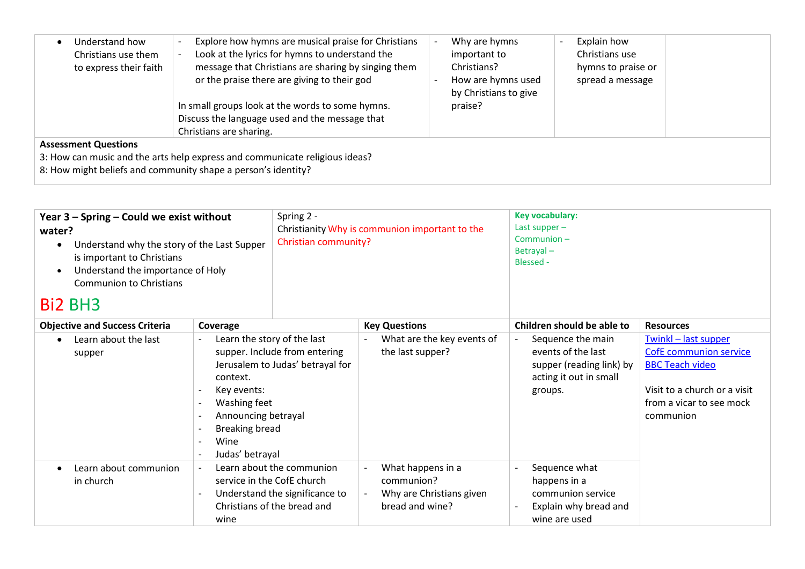| Understand how<br>Christians use them<br>to express their faith | Explore how hymns are musical praise for Christians<br>Look at the lyrics for hymns to understand the<br>message that Christians are sharing by singing them<br>or the praise there are giving to their god<br>In small groups look at the words to some hymns.<br>Discuss the language used and the message that<br>Christians are sharing. | Why are hymns<br>important to<br>Christians?<br>How are hymns used<br>by Christians to give<br>praise? | Explain how<br>Christians use<br>hymns to praise or<br>spread a message |  |
|-----------------------------------------------------------------|----------------------------------------------------------------------------------------------------------------------------------------------------------------------------------------------------------------------------------------------------------------------------------------------------------------------------------------------|--------------------------------------------------------------------------------------------------------|-------------------------------------------------------------------------|--|
| <b>Assessment Questions</b>                                     | 3: How can music and the arts help express and communicate religious ideas?<br>8: How might beliefs and community shape a person's identity?                                                                                                                                                                                                 |                                                                                                        |                                                                         |  |

| Year 3 - Spring - Could we exist without<br>water?<br>Understand why the story of the Last Supper<br>$\bullet$<br>is important to Christians<br>Understand the importance of Holy<br>$\bullet$<br><b>Communion to Christians</b><br><b>Bi2 BH3</b> |                                                                                                                                                   | Spring 2 -<br>Christian community?                                                         | Christianity Why is communion important to the                                 | <b>Key vocabulary:</b><br>Last supper-<br>Communion-<br>Betrayal-<br><b>Blessed -</b>                    |                                                                                                                                                          |
|----------------------------------------------------------------------------------------------------------------------------------------------------------------------------------------------------------------------------------------------------|---------------------------------------------------------------------------------------------------------------------------------------------------|--------------------------------------------------------------------------------------------|--------------------------------------------------------------------------------|----------------------------------------------------------------------------------------------------------|----------------------------------------------------------------------------------------------------------------------------------------------------------|
| <b>Objective and Success Criteria</b>                                                                                                                                                                                                              | Coverage                                                                                                                                          |                                                                                            | <b>Key Questions</b>                                                           | Children should be able to                                                                               | <b>Resources</b>                                                                                                                                         |
| Learn about the last<br>$\bullet$<br>supper                                                                                                                                                                                                        | Learn the story of the last<br>context.<br>Key events:<br>Washing feet<br>Announcing betrayal<br><b>Breaking bread</b><br>Wine<br>Judas' betrayal | supper. Include from entering<br>Jerusalem to Judas' betrayal for                          | What are the key events of<br>the last supper?                                 | Sequence the main<br>events of the last<br>supper (reading link) by<br>acting it out in small<br>groups. | Twinkl - last supper<br><b>CofE</b> communion service<br><b>BBC Teach video</b><br>Visit to a church or a visit<br>from a vicar to see mock<br>communion |
| Learn about communion<br>in church                                                                                                                                                                                                                 | service in the CofE church<br>wine                                                                                                                | Learn about the communion<br>Understand the significance to<br>Christians of the bread and | What happens in a<br>communion?<br>Why are Christians given<br>bread and wine? | Sequence what<br>happens in a<br>communion service<br>Explain why bread and<br>wine are used             |                                                                                                                                                          |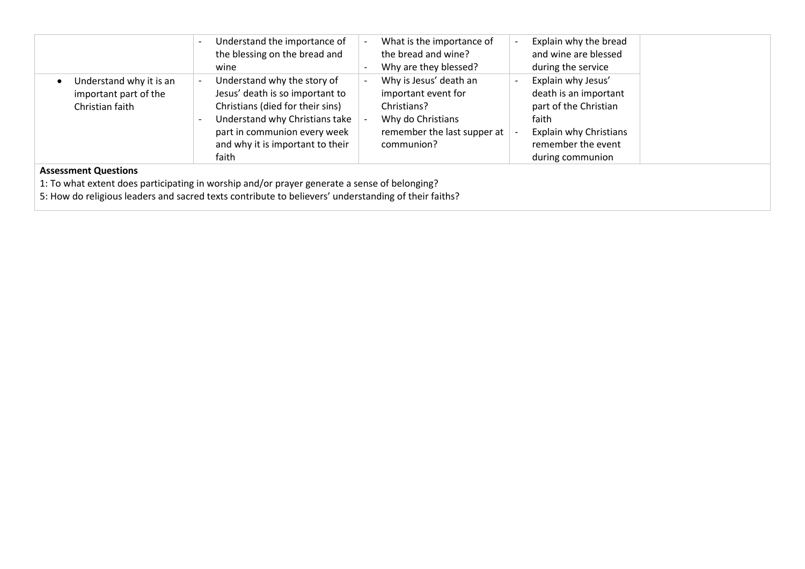|                                                                     | Understand the importance of<br>the blessing on the bread and<br>wine                                                                                                                                             | What is the importance of<br>the bread and wine?<br>Why are they blessed?                                                      | Explain why the bread<br>and wine are blessed<br>during the service                                                                                      |
|---------------------------------------------------------------------|-------------------------------------------------------------------------------------------------------------------------------------------------------------------------------------------------------------------|--------------------------------------------------------------------------------------------------------------------------------|----------------------------------------------------------------------------------------------------------------------------------------------------------|
| Understand why it is an<br>important part of the<br>Christian faith | Understand why the story of<br>Jesus' death is so important to<br>Christians (died for their sins)<br>Understand why Christians take<br>part in communion every week<br>and why it is important to their<br>faith | Why is Jesus' death an<br>important event for<br>Christians?<br>Why do Christians<br>remember the last supper at<br>communion? | Explain why Jesus'<br>death is an important<br>part of the Christian<br>faith<br><b>Explain why Christians</b><br>remember the event<br>during communion |
| <b>Assessment Questions</b>                                         | 1: To what extent does participating in worship and/or prayer generate a sense of belonging?                                                                                                                      |                                                                                                                                |                                                                                                                                                          |

5: How do religious leaders and sacred texts contribute to believers' understanding of their faiths?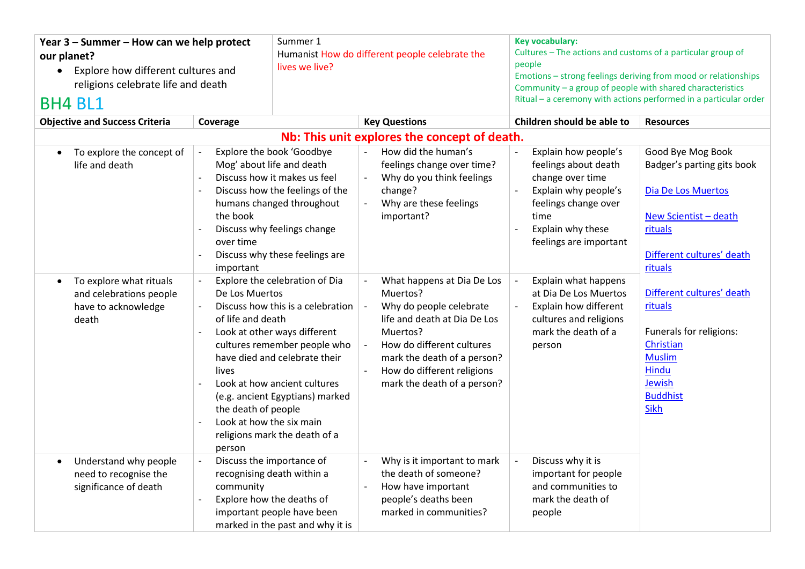| Year 3 - Summer - How can we help protect<br>our planet?<br>Explore how different cultures and<br>$\bullet$<br>religions celebrate life and death<br><b>BH4 BL1</b> |                                                                                                           | Summer 1<br>lives we live?                                                                                                                                                                                                                                               |                          | Humanist How do different people celebrate the                                                                                                                                                                                         |  | <b>Key vocabulary:</b><br>Cultures - The actions and customs of a particular group of<br>people<br>Community - a group of people with shared characteristics            | Emotions - strong feelings deriving from mood or relationships<br>Ritual - a ceremony with actions performed in a particular order                       |
|---------------------------------------------------------------------------------------------------------------------------------------------------------------------|-----------------------------------------------------------------------------------------------------------|--------------------------------------------------------------------------------------------------------------------------------------------------------------------------------------------------------------------------------------------------------------------------|--------------------------|----------------------------------------------------------------------------------------------------------------------------------------------------------------------------------------------------------------------------------------|--|-------------------------------------------------------------------------------------------------------------------------------------------------------------------------|----------------------------------------------------------------------------------------------------------------------------------------------------------|
| <b>Objective and Success Criteria</b>                                                                                                                               | Coverage                                                                                                  |                                                                                                                                                                                                                                                                          |                          | <b>Key Questions</b>                                                                                                                                                                                                                   |  | Children should be able to                                                                                                                                              | <b>Resources</b>                                                                                                                                         |
|                                                                                                                                                                     | Nb: This unit explores the concept of death.                                                              |                                                                                                                                                                                                                                                                          |                          |                                                                                                                                                                                                                                        |  |                                                                                                                                                                         |                                                                                                                                                          |
| To explore the concept of<br>$\bullet$<br>life and death                                                                                                            | the book<br>over time<br>important                                                                        | Explore the book 'Goodbye<br>Mog' about life and death<br>Discuss how it makes us feel<br>Discuss how the feelings of the<br>humans changed throughout<br>Discuss why feelings change<br>Discuss why these feelings are                                                  | $\overline{\phantom{a}}$ | How did the human's<br>feelings change over time?<br>Why do you think feelings<br>change?<br>Why are these feelings<br>important?                                                                                                      |  | Explain how people's<br>feelings about death<br>change over time<br>Explain why people's<br>feelings change over<br>time<br>Explain why these<br>feelings are important | Good Bye Mog Book<br>Badger's parting gits book<br><b>Dia De Los Muertos</b><br>New Scientist - death<br>rituals<br>Different cultures' death<br>rituals |
| To explore what rituals<br>$\bullet$<br>and celebrations people<br>have to acknowledge<br>death                                                                     | De Los Muertos<br>of life and death<br>lives<br>the death of people<br>Look at how the six main<br>person | Explore the celebration of Dia<br>Discuss how this is a celebration<br>Look at other ways different<br>cultures remember people who<br>have died and celebrate their<br>Look at how ancient cultures<br>(e.g. ancient Egyptians) marked<br>religions mark the death of a |                          | What happens at Dia De Los<br>Muertos?<br>Why do people celebrate<br>life and death at Dia De Los<br>Muertos?<br>How do different cultures<br>mark the death of a person?<br>How do different religions<br>mark the death of a person? |  | Explain what happens<br>at Dia De Los Muertos<br>Explain how different<br>cultures and religions<br>mark the death of a<br>person                                       | Different cultures' death<br>rituals<br>Funerals for religions:<br>Christian<br><b>Muslim</b><br>Hindu<br>Jewish<br><b>Buddhist</b><br>Sikh              |
| Understand why people<br>$\bullet$<br>need to recognise the<br>significance of death                                                                                | community                                                                                                 | Discuss the importance of<br>recognising death within a<br>Explore how the deaths of<br>important people have been<br>marked in the past and why it is                                                                                                                   |                          | Why is it important to mark<br>the death of someone?<br>How have important<br>people's deaths been<br>marked in communities?                                                                                                           |  | Discuss why it is<br>important for people<br>and communities to<br>mark the death of<br>people                                                                          |                                                                                                                                                          |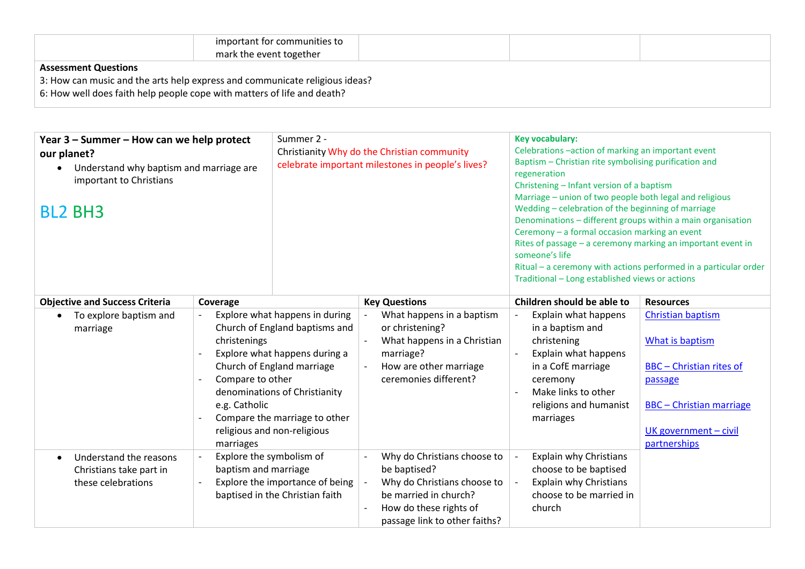|                                                                         | important for communities to<br>mark the event together                     |  |  |
|-------------------------------------------------------------------------|-----------------------------------------------------------------------------|--|--|
| <b>Assessment Questions</b>                                             |                                                                             |  |  |
|                                                                         | 3: How can music and the arts help express and communicate religious ideas? |  |  |
| 6: How well does faith help people cope with matters of life and death? |                                                                             |  |  |
|                                                                         |                                                                             |  |  |

| Year 3 – Summer – How can we help protect<br>our planet?<br>Understand why baptism and marriage are<br>important to Christians<br><b>BL2 BH3</b> | Summer 2 -                                                                                                                                                                                                                                                                                         | Christianity Why do the Christian community<br>celebrate important milestones in people's lives?                                                               | Key vocabulary:<br>Celebrations -action of marking an important event<br>Baptism - Christian rite symbolising purification and<br>regeneration<br>Christening - Infant version of a baptism<br>Marriage - union of two people both legal and religious<br>Wedding - celebration of the beginning of marriage<br>Denominations - different groups within a main organisation<br>Ceremony - a formal occasion marking an event<br>Rites of passage - a ceremony marking an important event in<br>someone's life<br>Traditional - Long established views or actions | Ritual $-$ a ceremony with actions performed in a particular order                                                                                                    |
|--------------------------------------------------------------------------------------------------------------------------------------------------|----------------------------------------------------------------------------------------------------------------------------------------------------------------------------------------------------------------------------------------------------------------------------------------------------|----------------------------------------------------------------------------------------------------------------------------------------------------------------|------------------------------------------------------------------------------------------------------------------------------------------------------------------------------------------------------------------------------------------------------------------------------------------------------------------------------------------------------------------------------------------------------------------------------------------------------------------------------------------------------------------------------------------------------------------|-----------------------------------------------------------------------------------------------------------------------------------------------------------------------|
| <b>Objective and Success Criteria</b>                                                                                                            | Coverage                                                                                                                                                                                                                                                                                           | <b>Key Questions</b>                                                                                                                                           | Children should be able to                                                                                                                                                                                                                                                                                                                                                                                                                                                                                                                                       | <b>Resources</b>                                                                                                                                                      |
| To explore baptism and<br>marriage                                                                                                               | Explore what happens in during<br>Church of England baptisms and<br>christenings<br>Explore what happens during a<br>Church of England marriage<br>Compare to other<br>denominations of Christianity<br>e.g. Catholic<br>Compare the marriage to other<br>religious and non-religious<br>marriages | What happens in a baptism<br>or christening?<br>What happens in a Christian<br>marriage?<br>How are other marriage<br>ceremonies different?                    | Explain what happens<br>in a baptism and<br>christening<br>Explain what happens<br>in a CofE marriage<br>ceremony<br>Make links to other<br>religions and humanist<br>marriages                                                                                                                                                                                                                                                                                                                                                                                  | <b>Christian baptism</b><br>What is baptism<br><b>BBC</b> - Christian rites of<br>passage<br><b>BBC</b> - Christian marriage<br>UK government - civil<br>partnerships |
| Understand the reasons<br>$\bullet$<br>Christians take part in<br>these celebrations                                                             | Explore the symbolism of<br>baptism and marriage<br>Explore the importance of being<br>baptised in the Christian faith                                                                                                                                                                             | Why do Christians choose to<br>be baptised?<br>Why do Christians choose to<br>be married in church?<br>How do these rights of<br>passage link to other faiths? | <b>Explain why Christians</b><br>choose to be baptised<br><b>Explain why Christians</b><br>choose to be married in<br>church                                                                                                                                                                                                                                                                                                                                                                                                                                     |                                                                                                                                                                       |